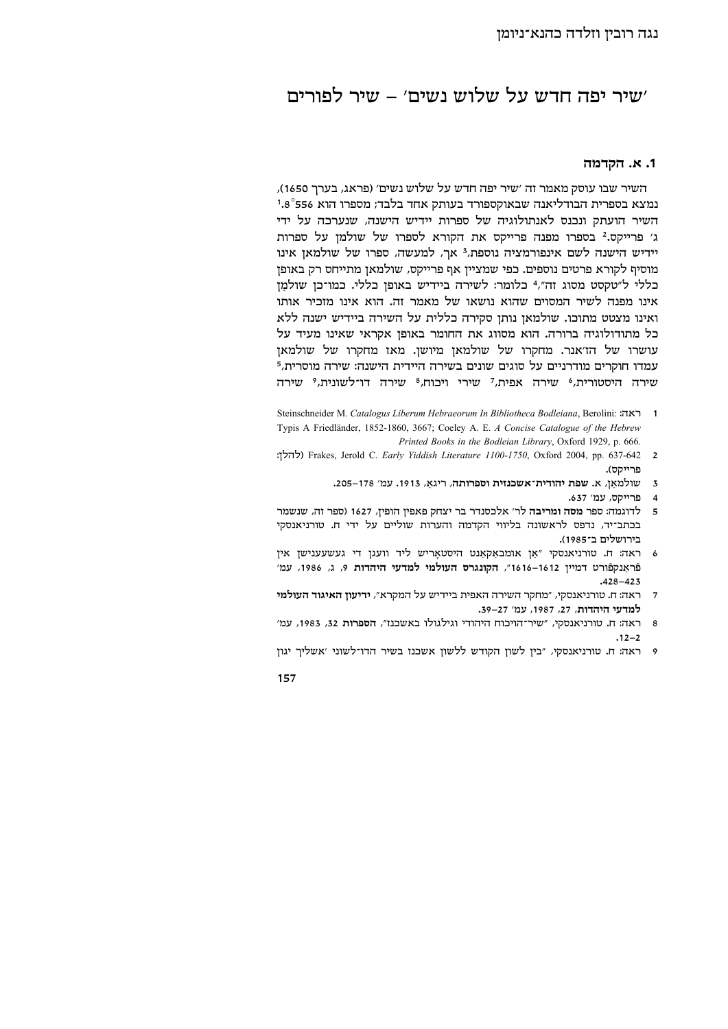# שיר יפה חדש על שלוש נשים׳ – שיר לפורים׳

#### 1. א. הקדמה

השיר שבו עוסק מאמר זה ׳שיר יפה חדש על שלוש נשים׳ (פראג, בערר 1650), נמצא בספרית הבודליאנה שבאוקספורד בעותק אחד בלבד; מספרו הוא 556°1.8 השיר הועתק ונכנס לאנתולוגיה של ספרות יידיש הישנה, שנערכה על ידי ג׳ פרייקס.2 בספרו מפנה פרייקס את הקורא לספרו של שולמן על ספרות יידיש הישנה לשם אינפורמציה נוספת,<sup>3</sup> אך, למעשה, ספרו של שולמאן אינו מוסיף לקורא פרטים נוספים. כפי שמציין אף פרייקס, שולמאן מתייחס רק באופן בללי ל"טקסט מסוג זה", 4בלומר: לשירה ביידיש באופן כללי. כמו־כן שולמֵן אינו מפנה לשיר המסוים שהוא נושאו של מאמר זה. הוא אינו מזכיר אותו ואינו מצטט מתוכו. שולמאן נותן סקירה כללית על השירה ביידיש ישנה ללא כל מתודולוגיה ברורה. הוא מסווג את החומר באופן אקראי שאינו מעיד על עושרו של הז'אנר. מחקרו של שולמאן מיושן. מאז מחקרו של שולמאן עמדו חוקרים מודרניים על סוגים שונים בשירה היידית הישנה: שירה מוסרית,<sup>5</sup> שירה היסטורית.<sup>6</sup> שירה אפית.<sup>7</sup> שירי ויכוח.<sup>8</sup> שירה דו־לשונית.<sup>9</sup> שירה

- Steinschneider M. Catalogus Liberum Hebraeorum In Bibliotheca Bodleiana, Berolini: ראה: 1 Typis A Friedländer, 1852-1860, 3667; Coeley A. E. A Concise Catalogue of the Hebrew Printed Books in the Bodleian Library, Oxford 1929, p. 666.
- frakes, Jerold C. Early Yiddish Literature 1100-1750, Oxford 2004, pp. 637-642 2 פרייקס).
	- 3 שולמאן, א. שפת יהודית־אשכנזית וספרותה, ריגא, 1913. עמ' 178–205.
		- 4 פרייקס, עמ׳ 637.
- 5 לדוגמה: ספר מסה ומריבה לר' אלכסנדר בר יצחק פאפין הופין, 1627 (ספר זה, שנשמר בכתב־יד, נדפס לראשונה בליווי הקדמה והערות שוליים על ידי ח. טורניאנסקי בירושלים ב־1985).
- ס ראה: ח. טורניאנסקי "אַן אומבאַקאַנט היסטאָריש ליד וועגן די געשעענישן אין פֿראַנקפֿורט דמיין 1612–1616", הקונגרס העולמי למדעי היהדות 9, ג, 1986, עמ׳  $.428 - 423$
- 7 ראה: ח. טורניאנסקי, "מחקר השירה האפית ביידיש על המקרא", ידיעון האיגוד העולמי למדעי היהדות, 27, 1987, עמ׳ 27-39.
- 8 ראה: ח. טורניאנסקי, "שיר־הויכוח היהודי וגילגולו באשכנז", הספרות 32, 1983, עמ'  $.12 - 2$
- 9 ראה: ח. טורניאנסקי, "בין לשון הקודש ללשון אשכנז בשיר הדו־לשוני 'אשליך יגון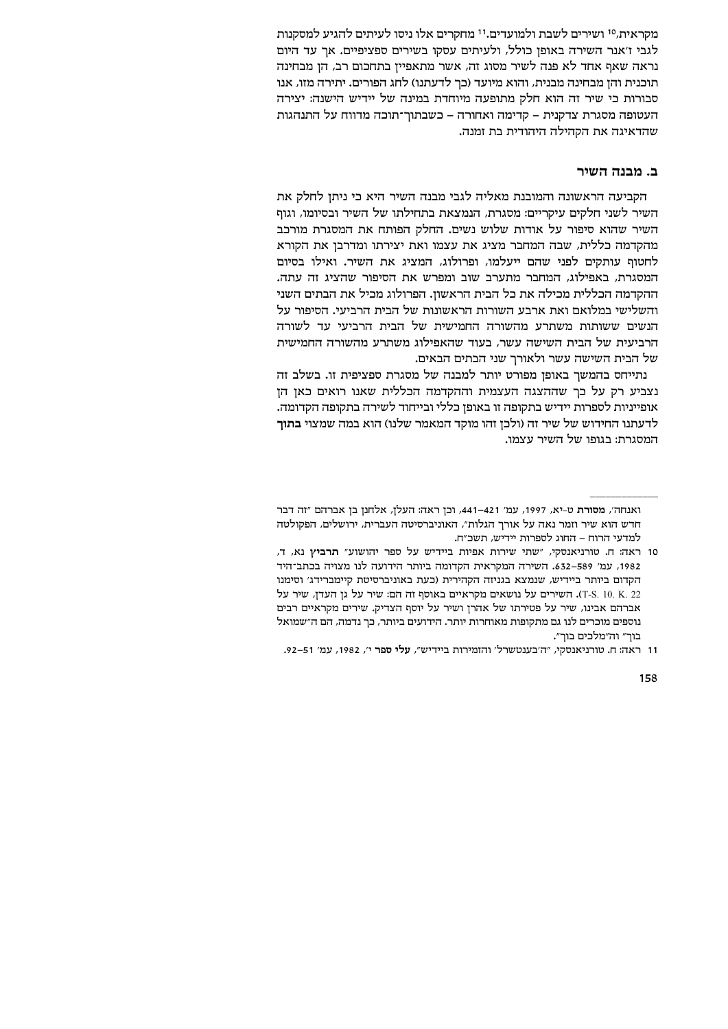מקראית,<sup>10</sup> ושירים לשבת ולמועדים.<sup>11</sup> מחקרים אלו ניסו לעיתים להגיע למסקנות לגבי ז׳אנר השירה באופן כולל, ולעיתים עסקו בשירים ספציפיים. אר עד היום נראה שאף אחד לא פנה לשיר מסוג זה, אשר מתאפיין בתחכום רב, הן מבחינה תוכנית והן מבחינה מבנית, והוא מיועד (כך לדעתנו) לחג הפורים. יתירה מזו, אנו סבורות כי שיר זה הוא חלק מתופעה מיוחדת במינה של יידיש הישנה: יצירה העטופה מסגרת צדקנית – קדימה ואחורה – כשבתוך־תוכה מדווח על התנהגות שהדאיגה את הקהילה היהודית בת זמנה.

### ב. מבנה השיר

הקביעה הראשונה והמובנת מאליה לגבי מבנה השיר היא כי ניתן לחלק את השיר לשני חלקים עיקריים: מסגרת, הנמצאת בתחילתו של השיר ובסיומו, וגוף השיר שהוא סיפור על אודות שלוש נשים. החלק הפותח את המסגרת מורכב מהקדמה כללית, שבה המחבר מציג את עצמו ואת יצירתו ומדרבן את הקורא לחטוף עותקים לפני שהם ייעלמו, ופרולוג, המציג את השיר. ואילו בסיום המסגרת, באפילוג, המחבר מתערב שוב ומפרש את הסיפור שהציג זה עתה. ההקדמה הכללית מכילה את כל הבית הראשון. הפרולוג מכיל את הבתים השני והשלישי במלואם ואת ארבע השורות הראשונות של הבית הרביעי. הסיפור על הנשים ששותות משתרע מהשורה החמישית של הבית הרביעי עד לשורה הרביעית של הבית השישה עשר, בעוד שהאפילוג משתרע מהשורה החמישית של הבית השישה עשר ולאורך שני הבתים הבאים.

נתייחס בהמשך באופן מפורט יותר למבנה של מסגרת ספציפית זו. בשלב זה נצביע רק על כך שההצגה העצמית וההקדמה הכללית שאנו רואים כאן הן אופייניות לספרות יידיש בתקופה זו באופן כללי ובייחוד לשירה בתקופה הקדומה. לדעתנו החידוש של שיר זה (ולכן זהו מוקד המאמר שלנו) הוא במה שמצוי **בתוך** המסגרת: בגופו של השיר עצמו.

ואנחה׳, מסורת ט-יא, 1997, עמ׳ 421–441, וכן ראה: העלן, אלחנן בן אברהם ״זה דבר חדש הוא שיר וזמר נאה על אורך הגלות", האוניברסיטה העברית, ירושלים, הפקולטה למדעי הרוח – החוג לספרות יידיש, תשכ״ח.

<sup>10</sup> ראה: ח. טורניאנסקי, "שתי שירות אפיות ביידיש על ספר יהושוע" תרביץ נא, ד, 1982, עמ׳ 589–632. השירה המקראית הקדומה ביותר הידועה לנו מצויה בכתב־היד הקדום ביותר ביידיש, שנמצא בגניזה הקהירית (כעת באוניברסיטת קיימברידג׳ וסימנו T-S. 10. K. 22), השירים על נושאים מקראיים באוסף זה הם: שיר על גן העדן, שיר על אברהם אבינו, שיר על פטירתו של אהרן ושיר על יוסף הצדיק. שירים מקראיים רבים נוספים מוכרים לנו גם מתקופות מאוחרות יותר. הידועים ביותר, כך נדמה, הם ה"שמואל בוך" וה"מלכים בוך".

<sup>11</sup> ראה: ח. טורניאנסקי, "ה'בענטשרל' והזמירות ביידיש", עלי ספר י', 1982, עמ' 51–92.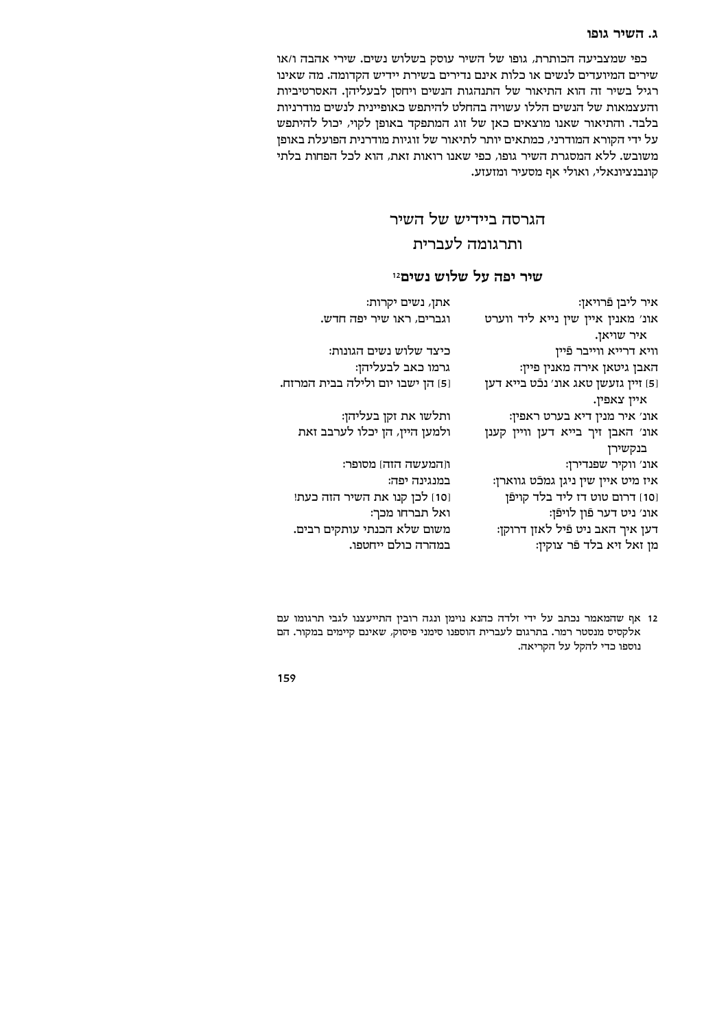### ג. השיר גופו

כפי שמצביעה הכותרת, גופו של השיר עוסק בשלוש נשים. שירי אהבה ו/או שירים המיועדים לנשים או כלות אינם נדירים בשירת יידיש הקדומה. מה שאינו רגיל בשיר זה הוא התיאור של התנהגות הנשים ויחסן לבעליהן. האסרטיביות והעצמאות של הנשים הללו עשויה בהחלט להיתפש כאופיינית לנשים מודרניות בלבד. והתיאור שאנו מוצאים כאן של זוג המתפקד באופן לקוי, יכול להיתפש על ידי הקורא המודרני, כמתאים יותר לתיאור של זוגיות מודרנית הפועלת באופן משובש. ללא המסגרת השיר גופו, כפי שאנו רואות זאת, הוא לכל הפחות בלתי קונבנציונאלי, ואולי אף מסעיר ומזעזע.

# הגרסה ביידיש של השיר ותרגומה לעברית

# שיר יפה על שלוש נשים12

| אתן, נשים יקרות:                  | איר ליבן פֿרויאן:                     |
|-----------------------------------|---------------------------------------|
| וגברים, ראו שיר יפה חדש.          | אונ' מאנין איין שין נייא ליד ווערט    |
|                                   | איר שויאן.                            |
| כיצד שלוש נשים הגונות:            | וויא דרייא ווייבר פֿיין               |
| גרמו כאב לבעליהן:                 | האבן גיטאן אירה מאנין פיין:           |
| [5] הן ישבו יום ולילה בבית המרזח. | [5] זיין גזעשן טאג אונ׳ נכֿט בייא דען |
|                                   | איין צאפין.                           |
| ותלשו את זקן בעליהן:              | אונ׳ איר מנין דיא בערט ראפין:         |
| ולמען היין, הן יכלו לערבב זאת     | אונ׳ האבן זיך בייא דען וויין קענן     |
|                                   | בנקשירן                               |
| וןהמעשה הזה] מסופר:               | אונ׳ ווקיר שפנדירן:                   |
| במנגינה יפה:                      | איז מיט איין שין ניגן גמכֿט גווארן:   |
| [10] לכן קנו את השיר הזה כעת!     | [10] דרום טוט דז ליד בלד קויפֿן       |
| ואל תברחו מכך:                    | אונ׳ ניט דער פֿון לויפֿן:             |
| משום שלא הכנתי עותקים רבים.       | דען איך האב ניט פֿיל לאזן דרוקן:      |
| במהרה כולם ייחטפו.                | מן זאל זיא בלד פֿר צוקין:             |

12 אף שהמאמר נכתב על ידי זלדה כהנא נוימן ונגה רובין התייעצנו לגבי תרגומו עם אלקסיס מנסטר רמר. בתרגום לעברית הוספנו סימני פיסוק, שאינם קיימים במקור. הם נוספו כדי להקל על הקריאה.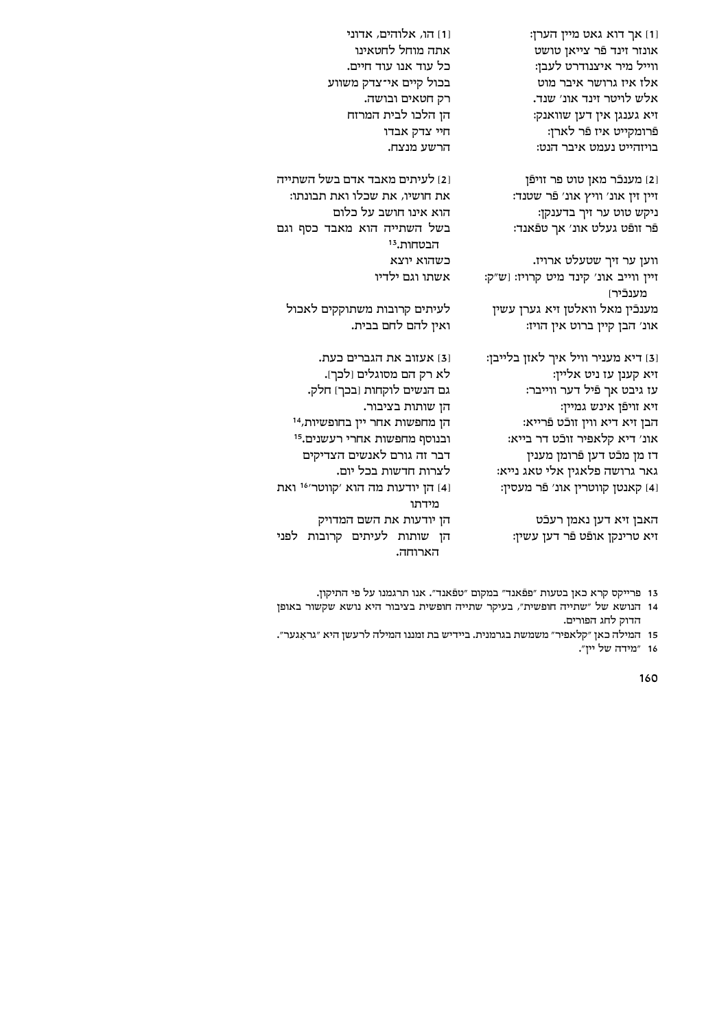160

16 "מידה של יין".

[1] הו, אלוהים, אדוני אתה מוחל לחטאינו כל עוד אנו עוד חיים. בכול קיים אי־צדק משווע רק חטאים ובושה. הן הלכו לבית המרזח חיי צדק אבדו הרשע מנצח.

ו2] לעיתים מאבד אדם בשל השתייה את חושיו, את שכלו ואת תבונתו: הוא אינו חושב על כלום בשל השתייה הוא מאבד כסף וגם הבטחות.<sup>13</sup> כשהוא יוצא אשתו וגם ילדיו

לעיתים קרובות משתוקקים לאכול ואין להם לחם בבית.

131 אעזוב את הגברים כעת. לא רק הם מסוגלים [לכך]. גם הנשים לוקחות (בכך) חלק. הן שותות בציבור. הן מחפשות אחר יין בחופשיות, 14 ובנוסף מחפשות אחרי רעשנים.<sup>15</sup> דבר זה גורם לאנשים הצדיקים לצרות חדשות בכל יום. מידתו הן יודעות את השם המדויק הארוחה.

<sup>16</sup> הו יודעות מה הוא 'קווטר'<sup>16</sup> ואת הן שותות לעיתים קרובות לפני

[3] דיא מעניר וויל איך לאזן בלייבן: זיא קענן עז ניט אליין: עז גיבט אך פֿיל דער ווייבר: זיא זויפֿן אינש גמיין: הבן זיא דיא ווין זוכֿט פֿרייא: אונ׳ דיא קלאפיר זוכֿט דר בייא: דז מן מכֿט דען פֿרומן מענין גאר גרושה פלאגין אלי טאג נייא: [4] קאנטן קווטרין אונ׳ פֿר מעסין:

האבן זיא דען נאמן רעכֿט

הדוק לחג הפורים.

זיא טרינקן אופֿט פֿר דען עשין:

13 פרייקס קרא כאן בטעות "פפֿאנד" במקום "טפֿאנד". אנו תרגמנו על פי התיקון.

14 הנושא של "שתייה חופשית", בעיקר שתייה חופשית בציבור היא נושא שקשור באופן

15 המילה כאן ״קלאפיר״ משמשת בגרמנית. ביידיש בת זמננו המילה לרעשן היא ״גראגער״.

ווען ער זיך שטעלט ארויז. זיין ווייב אונ׳ קינד מיט קרויז: [ש"ק: מענכֿירו מענכֿין מאל וואלטן זיא גערן עשין אונ' הבן קיין ברוט אין הויז:

[2] מענכֿר מאן טוט פר זויפֿן זיין זין אונ׳ וויץ אונ׳ פֿר שטנד: ניקש טוט ער זיך בדענקן: פֿר זופֿט געלט אונ׳ אך טפֿאנד:

וז אך דוא גאט מיין הערן: אונזר זינד פֿר צייאז טושט ווייל מיר איצנודרט לעבן: אלז איז גרושר איבר מוט אלש לויטר זינד אונ׳ שנד. זיא גענגן אין דען שוואנק: פֿרומקייט איז פֿר לארן: בויזהייט נעמט איבר הנט: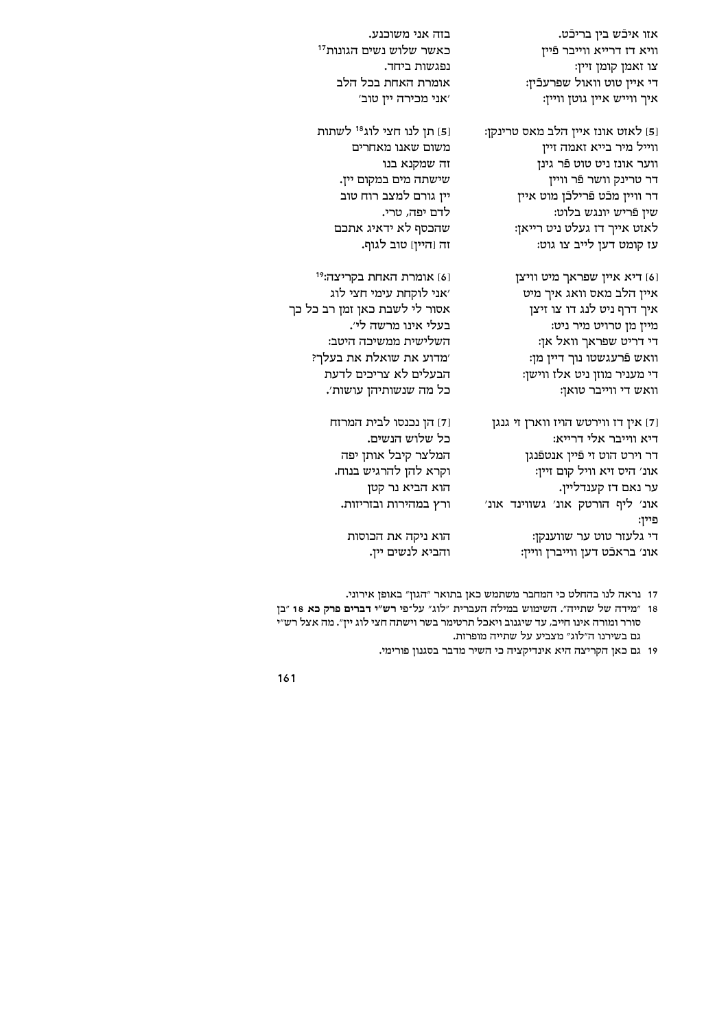אזו איכֿש בין בריכֿט. וויא דז דרייא ווייבר פֿיין צו זאמן קומן זיין: די איין טוט וואול שפרעכֿין: וויין: איך איין גוטן וויין

[5] לאזט אונז איין הלב מאס טרינקן: ווייל מיר בייא זאמה זייז ווער אונז ניט טוט פֿר גינן דר טרינק וושר פֿר וויין דר וויין מכֿט פֿרילכֿן מוט איין שיו פֿריש יונגש בלוט: לאזט אייך דז געלט ניט רייאן: עז קומט דען לייב צו גוט:

> [6] דיא איין שפראך מיט וויצן איין הלב מאס וואג איך מיט איך דרף ניט לנג דו צו זיצן מיין מן טרויט מיר ניט: די דריט שפראך וואל אן: וואש פֿרעגשטו נוך דיין מן: די מעניר מוזן ניט אלז ווישן: וואש די ווייבר טואן:

ון אין אין אין הוירט הויז אין דו אין אין דו דיא ווייבר אלי דרייא: דר וירט הוט זי פֿיין אנטפֿנגן אונ׳ היס זיא וויל קום זיין: ער נאם דז קענדליין. אונ׳ ליף הורטק אונ׳ גשווינד אונ׳ פיין: די גלעזר טוט ער שווענקן: אונ׳ בראכֿט דען ווייברן וויין:

בזה אני משוכנע. כאשר שלוש נשים הגונות<sup>17</sup> נפגשות ביחד. אומרת האחת בכל הלב 'אני מכירה יין טוב'

[5] תן לנו חצי לוג<sup>18</sup> לשתות משום שאנו מאחרים זה שמקנא בנו שישתה מים במקום יין. ייז גורם למצב רוח טוב לדם יפה, טרי. שהכסף לא ידאיג אתכם זה [היין] טוב לגוף.

[6] אומרת האחת בקריצה:<sup>19</sup> 'אני לוקחת עימי חצי לוג אסור לי לשבת כאן זמן רב כל כך בעלי אינו מרשה לי׳. השלישית ממשיכה היטב: 'מדוע את שואלת את בעלך? הבעלים לא צריכים לדעת כל מה שנשותיהן עושות׳.

> [7] הן נכנסו לבית המרזח כל שלוש הנשים. המלצר קיבל אותן יפה וקרא להן להרגיש בנוח. הוא הביא נר קטן ורץ במהירות ובזריזות.

> > הוא ניקה את הכוסות והביא לנשים ייז.

17 נראה לנו בהחלט כי המחבר משתמש כאן בתואר "הגון" באופן אירוני.

18 "מידה של שתייה". השימוש במילה העברית "לוג" על־פי רש"י דברים פרק כא 18 "בן סורר ומורה אינו חייב, עד שיגנוב ויאכל תרטימר בשר וישתה חצי לוג יין". מה אצל רש"י גם בשירנו ה״לוג״ מצביע על שתייה מופרזת.

19 גם כאן הקריצה היא אינדיקציה כי השיר מדבר בסגנון פורימי.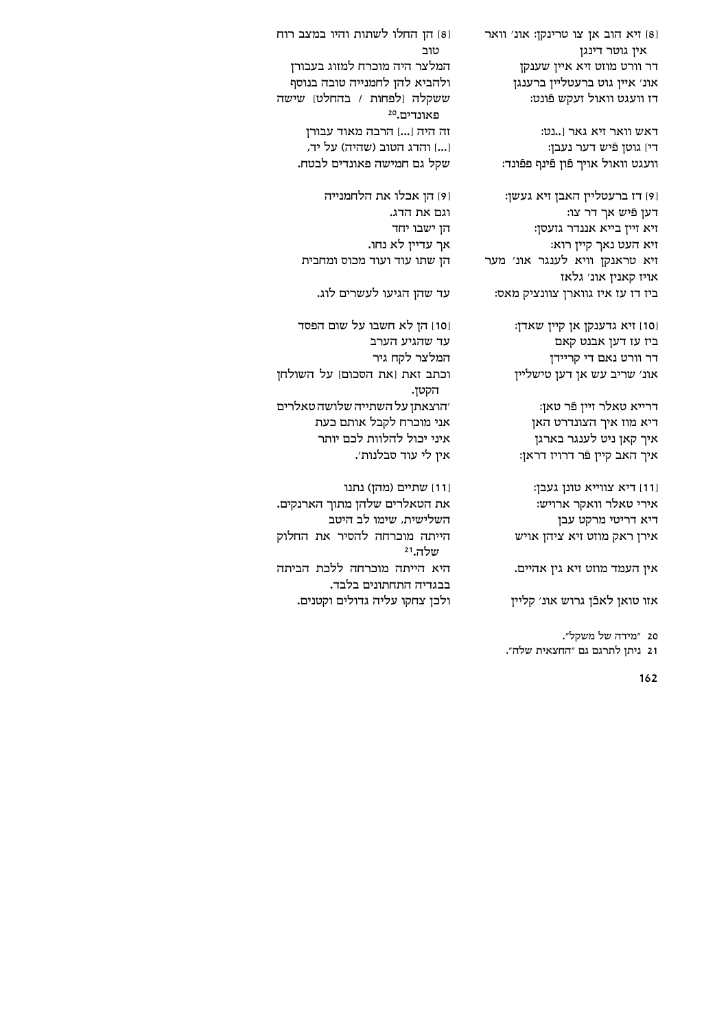[8] זיא הוב אן צו טרינקן: אונ' וואר אין גוטר דינגן דר וורט מוזט זיא איין שענקן אונ׳ איין גוט ברעטליין ברענגן דז וועגט וואול זעקש פֿונט:

[8] הן החלו לשתות והיו במצב רוח

המלצר היה מוכרח למזוג בעבורן

ולהביא להן לחמנייה טובה בנוסף

זה היה [...] הרבה מאוד עבורן

[...] והדג הטוב (שהיה) על יד,

ו9] הן אכלו את הלחמנייה

שקל גם חמישה פאונדים לבטח.

הן שתו עוד ועוד מכוס ומחבית

[10] הן לא חשבו על שום הפסד

וכתב זאת [את הסכום] על השולחן

׳הוצאתן על השתייה שלושה טאלרים אני מוכרח לקבל אותם כעת

את הטאלרים שלהן מתוך הארנקים.

הייתה מוכרחה להסיר את החלוק

היא הייתה מוכרחה ללכת הביתה

ולכן צחקו עליה גדולים וקטנים.

איני יכול להלוות לכם יותר

איז לי עוד סבלנות׳.

[11] שתיים (מהן) נתנו

השלישית, שימו לב היטב

בבגדיה התחתונים בלבד.

עד שהו הגיעו לעשרים לוג.

ששקלה [לפחות / בהחלט] שישה

טוב

פאונדים.20

וגם את הדג. הן ישבו יחד

אך עדיין לא נחו.

עד שהגיע הערב

המלצר לקח גיר

הקטן.

שלה.<sup>21</sup>

דאש וואר זיא גאר [..נט: די) גוטן פֿיש דער נעבן: וועגט וואול אויך פֿון פֿינף פפֿונד:

זיא טראנקן וויא לענגר אונ׳ מער

וסו] זיא גדענקן אן קיין שאדן: ביז עז דען אבנט קאם דר וורט נאם די קריידן

ו9] דז ברעטליין האבן זיא געשן: דעו פֿיש אך דר צו: זיא זיין בייא אננדר גזעסן: זיא העט נאך קיין רוא: אויז קאנין אונ׳ גלאז ביז דז עז איז גווארן צוונציק מאס:

אונ׳ שריב עש אן דען טישליין

דרייא טאלר זיין פֿר טאן:

דיא מוז איך הצונדרט האן איך קאן ניט לענגר בארגן איך האב קיין פֿר דרויז דראן:

[11] דיא צווייא טונן געבן: אירי טאלר וואקר ארויש:

דיא דריטי מרקט עבן

אירן ראק מוזט זיא ציהן אויש

אין העמד מוזט זיא גין אהיים.

אזו טואן לאכֿן גרוש אונ׳ קליין

21 ניתן לתרגם גם "החצאית שלה".

20 "מידה של משקל".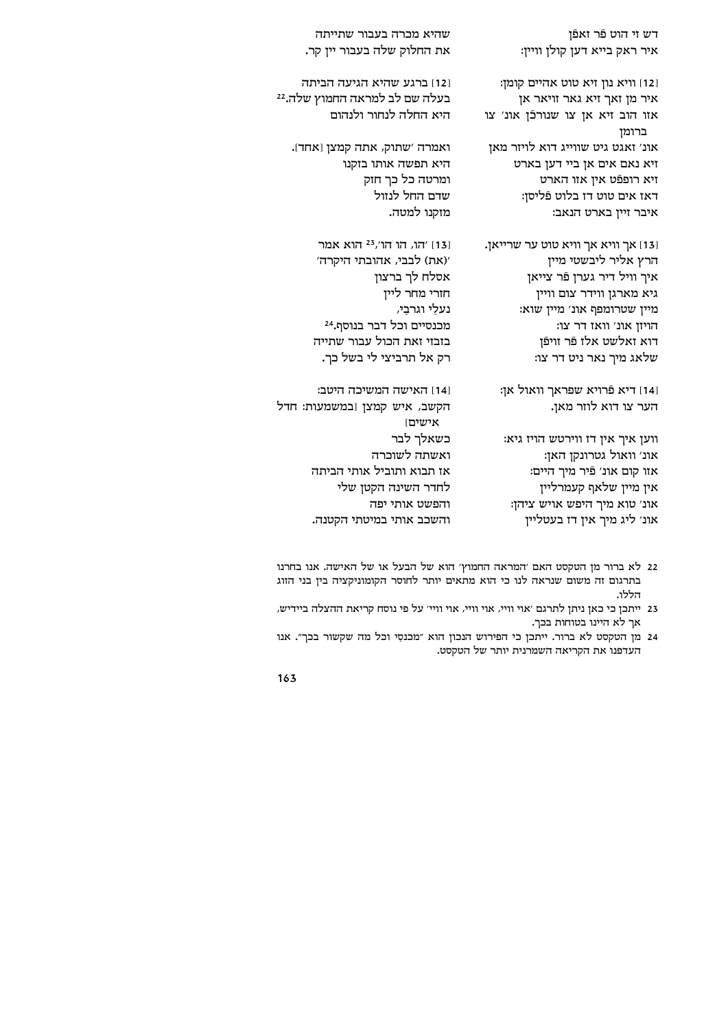דש זי הוט פֿר זאפֿן איר ראק בייא דען קולן וויין:

[12] וויא נון זיא טוט אהיים קומן: איר מן זאך זיא גאר זויאר אן אזו הוב זיא אן צו שנורכֿן אונ׳ צו ברומן אונ׳ זאגט גיט שווייג דוא לויזר מאן זיא נאם אים אן ביי דען בארט זיא רופפֿט אין אזו הארט דאז אים טוט דז בלוט פֿליסן: איבר זיין בארט הנאב:

.נו אך אך אויא אן איז אוט אוייאן הרץ אליר ליבשטי מיין איך וויל דיר גערן פֿר צייאן גיא מארגן ווידר צום וויין מיין שטרומפף אונ׳ מיין שוא: הויזן אונ׳ וואז דר צו: דוא זאלשט אלז פֿר זויפֿן שלאג מיך נאר ניט דר צו:

ונאול אן: פֿרויא שפראך וואול אן הער צו דוא לוזר מאן.

ווען איך אין דז ווירטש הויז גיא: אונ׳ וואול גטרונקן האן: אזו קום אונ׳ פֿיר מיך היים: אין מיין שלאף קעמרליין אונ׳ טוא מיך היפש אויש ציהן: אונ׳ ליג מיך אין דז בעטליין

שהיא מכרה בעבור שתייתה את החלוק שלה בעבור ייז קר.

[12] ברגע שהיא הגיעה הביתה בעלה שם לב למראה החמוץ שלה.22 היא החלה לנחור ולנהום

ואמרה 'שתוק, אתה קמצן [אחד]. היא תפשה אותו בזקנו ומרטה כל כך חזק שדם החל לנזול מזקנו למטה.

> 131 /הו, הו הו'<sup>23</sup> הוא אמר '(את) לבבי, אהובתי היקרה' אסלח לך ברצון חזרי מחר ליין נעלַי וגרבַי, מכנסיים וכל דבר בנוסף.<sup>24</sup> בזבזי זאת הכול עבור שתייה רק אל תרביצי לי בשל כך.

1141 האישה המשיכה היטב: הקשב, איש קמצן [במשמעות: חדל אישים כשאלר לבר ואשתה לשוכרה אז תבוא ותוביל אותי הביתה לחדר השינה הקטן שלי והפשט אותי יפה והשכב אותי במיטתי הקטנה.

- 22 לא ברור מן הטקסט האם 'המראה החמוץ' הוא של הבעל או של האישה. אנו בחרנו בתרגום זה משום שנראה לנו כי הוא מתאים יותר לחוסר הקומוניקציה בין בני הזוג הללו.
- 23 ייתכן כי כאן ניתן לתרגם 'אוי וויי, אוי וויי, אוי וויי' על פי נוסח קריאת ההצלה ביידיש, אך לא היינו בטוחות בכך.
- 24 מן הטקסט לא ברור. ייתכן כי הפירוש הנכון הוא "מכנסי וכל מה שקשור בכך". אנו העדפנו את הקריאה השמרנית יותר של הטקסט.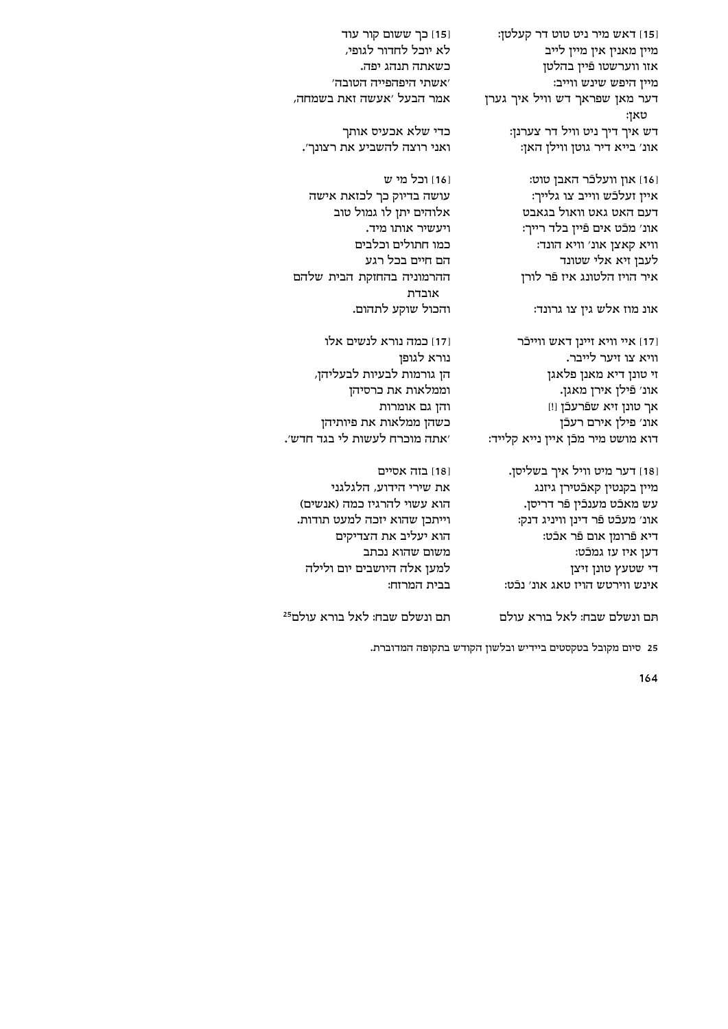[15] דאש מיר ניט טוט דר קעלטן: מיין מאנין אין מיין לייב אזו ווערשטו פֿיין בהלטן מיין היפש שינש ווייב: דער מאן שפראך דש וויל איך גערן טאן: דש איך דיך ניט וויל דר צערנן: אונ׳ בייא דיר גוטן ווילן האן:

[16] און וועלכֿר האבן טוט: איין זעלכֿש ווייב צו גלייר: דעם האט גאט וואול בגאבט אונ׳ מכֿט אים פֿיין בלד רייך: וויא קאצן אונ׳ וויא הונד: לעבן זיא אלי שטונד איר הויז הלטונג איז פֿר לורז

אונ מוז אלש גין צו גרונד:

[17] איי וויא זיינן דאש ווייכֿר וויא צו זיער לייבר. זי טונן דיא מאנן פלאגן אונ׳ פֿילן אירן מאגן. אך טונן זיא שפֿרעכֿן [!] אונ׳ פילן אירם רעכֿן דוא מושט מיר מכֿז אייז נייא קלייד:

[18] דער מיט וויל איך בשליסן. מיין בקנטין קאכֿטירן גיזנג עש מאכֿט מענכֿין פֿר דריסן. אונ׳ מעכֿט פֿר דינן וויניג דנק: דיא פֿרומן אום פֿר אכֿט: דעז איז עז גמכֿט: די שטעץ טונן זיצן אינש ווירטש הויז טאג אונ׳ נכֿט:

׳אתה מוכרח לעשות לי בגד חדש׳. 181 בזה אסיים את שירי הידוע, הלגלגני הוא עשוי להרגיז כמה (אנשים) וייתכן שהוא יזכה למעט תודות. הוא יעליב את הצדיקים משום שהוא נכתב למען אלה היושבים יום ולילה

[15] כך ששום קור עוד

לא יוכל לחדור לגופי,

'אשתי היפהפייה הטובה'

כדי שלא אכעיס אותך

161 וכל מי ש

אמר הבעל ׳אעשה זאת בשמחה,

ואני רוצה להשביע את רצונר׳.

עושה בדיוק כר לכזאת אישה

ההרמוניה בהחזקת הבית שלהם

אלוהים יתו לו גמול טוב

ויעשיר אותו מיד.

הם חיים בכל רגע

אובדת

נורא לגופז

בבית המרזח:

כמו חתולים וכלבים

והכול שוקע לתהום.

וממלאות את כרסיהן והן גם אומרות

171] כמה נורא לנשים אלו

הן גורמות לבעיות לבעליהן,

כשהן ממלאות את פיותיהן

רשאחה חוהג יפה.

תם ונשלם שבח: לאל בורא עולם

תם ונשלם שבח: לאל בורא עולם<sup>25</sup>

25 סיום מקובל בטקסטים ביידיש ובלשון הקודש בתקופה המדוברת.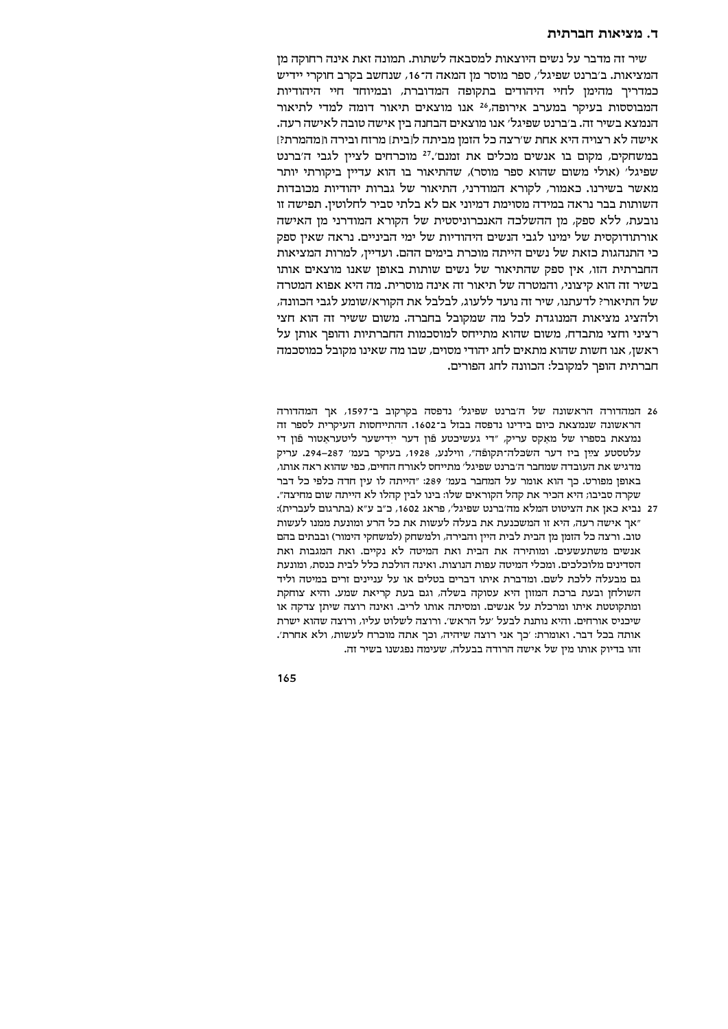#### ד. מציאות חברתית

שיר זה מדבר על נשים היוצאות למסבאה לשתות. תמונה זאת אינה רחוקה מז המציאות. ב׳ברנט שפיגל׳, ספר מוסר מן המאה ה־16, שנחשב בקרב חוקרי יידיש כמדריך מהימן לחיי היהודים בתקופה המדוברת, ובמיוחד חיי היהודיות המבוססות בעיקר במערב אירופה,<sup>26</sup> אנו מוצאים תיאור דומה למדי לתיאור הנמצא בשיר זה. ב׳ברנט שפיגל׳ אנו מוצאים הבחנה בין אישה טובה לאישה רעה. אישה לא רצויה היא אחת ש׳רצה כל הזמן מביתה ל[בית] מרזח ובירה ו[מהמרת?] במשחקים, מקום בו אנשים מכלים את זמנם׳.<sup>27</sup> מוכרחים לציין לגבי ה׳ברנט שפיגל' (אולי משום שהוא ספר מוסר), שהתיאור בו הוא עדיין ביקורתי יותר מאשר בשירנו. כאמור, לקורא המודרני, התיאור של גברות יהודיות מכובדות השותות בבר נראה במידה מסוימת דמיוני אם לא בלתי סביר לחלוטין. תפישה זו נובעת, ללא ספק, מן ההשלכה האנכרוניסטית של הקורא המודרני מן האישה אורתודוקסית של ימינו לגבי הנשים היהודיות של ימי הביניים. נראה שאין ספק כי התנהגות כזאת של נשים הייתה מוכרת בימים ההם. ועדיין, למרות המציאות החברתית הזו, אין ספק שהתיאור של נשים שותות באופן שאנו מוצאים אותו בשיר זה הוא קיצוני, והמטרה של תיאור זה אינה מוסרית. מה היא אפוא המטרה של התיאור? לדעתנו, שיר זה נועד ללעוג, לבלבל את הקורא/שומע לגבי הכוונה, ולהציג מציאות המנוגדת לכל מה שמקובל בחברה. משום ששיר זה הוא חצי רציני וחצי מתבדח, משום שהוא מתייחס למוסכמות החברתיות והופך אותן על ראשן, אנו חשות שהוא מתאים לחג יהודי מסוים, שבו מה שאינו מקובל כמוסכמה חברתית הופר למקובל: הכוונה לחג הפורים.

- 26 המהדורה הראשונה של ה׳ברנט שפיגל׳ נדפסה בקרקוב ב־1597, אר המהדורה הראשונה שנמצאת כיום בידינו נדפסה בבזל ב־1602. ההתייחסות העיקרית לספר זה נמצאת בספרו של מאקס עריק, "די געשיכטע פון דער יידישער ליטעראטור פֿון די עלטסטע צײַן ביז דער השׂכּלה־תּקופֿה", ווילנע, 1928, בעיקר בעמ׳ 287–294. עריק מדגיש את העובדה שמחבר ה׳ברנט שפיגל׳ מתייחס לאורח החיים, כפי שהוא ראה אותו, באופן מפורט. כך הוא אומר על המחבר בעמ׳ 289: "הייתה לו עין חדה כלפי כל דבר שקרה סביבו; היא הכיר את קהל הקוראים שלו: בינו לבין קהלו לא הייתה שום מחיצה".
- 27 נביא כאן את הציטוט המלא מה׳ברנט שפיגל׳, פראג 1602, כ״ב ע״א (בתרגום לעברית): "אך אישה רעה, היא זו המשכנעת את בעלה לעשות את כל הרע ומונעת ממנו לעשות טוב. ורצה כל הזמן מן הבית לבית היין והבירה, ולמשחק (למשחקי הימור) ובבתים בהם אנשים משתעשעים. ומותירה את הבית ואת המיטה לא נקיים. ואת המגבות ואת הסדינים מלוכלכים. ומכלי המיטה עפות הנוצות. ואינה הולכת כלל לבית כנסת, ומונעת גם מבעלה ללכת לשם. ומדברת איתו דברים בטלים או על עניינים זרים במיטה וליד השולחן ובעת ברכת המזון היא עסוקה בשלה, וגם בעת קריאת שמע. והיא צוחקת ומתקוטטת איתו ומרכלת על אנשים. ומסיתה אותו לריב. ואינה רוצה שיתן צדקה או שיכניס אורחים. והיא נותנת לבעל 'על הראש'. ורוצה לשלוט עליו, ורוצה שהוא ישרת אותה בכל דבר. ואומרת: ׳כך אני רוצה שיהיה, וכך אתה מוכרח לעשות, ולא אחרת׳. זהו בדיוק אותו מין של אישה הרודה בבעלה, שעימה נפגשנו בשיר זה.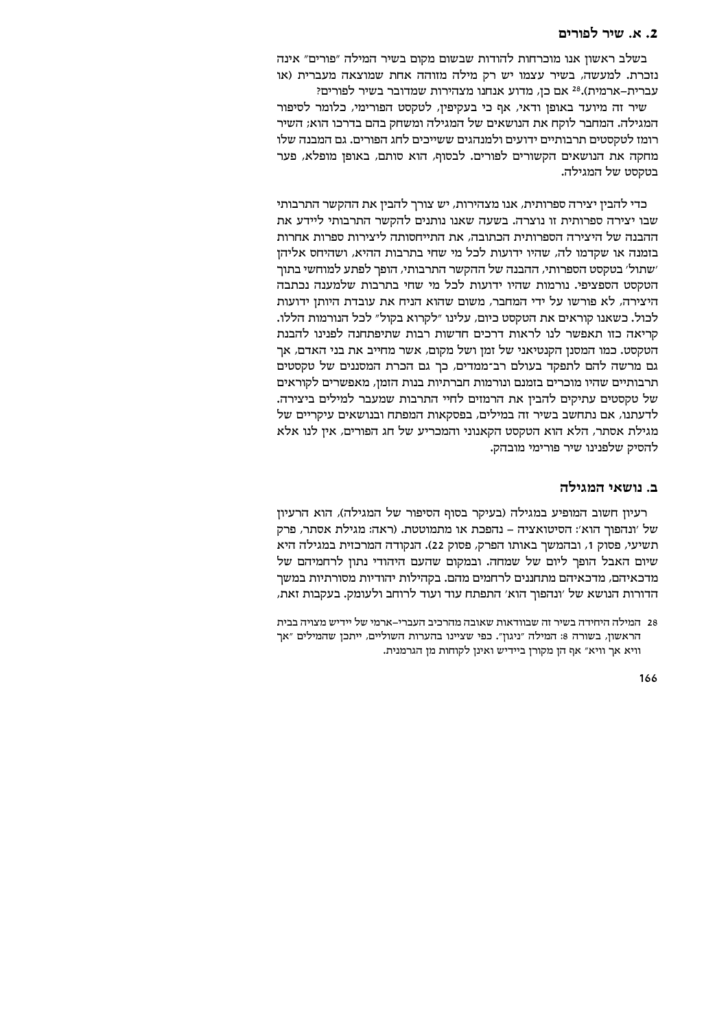# 2. א. שיר לפורים

בשלב ראשוז אנו מוכרחות להודות שבשום מקום בשיר המילה ״פורים״ אינה נזכרת. למעשה, בשיר עצמו יש רק מילה מזוהה אחת שמוצאה מעברית (או . עברית-ארמית).<sup>28</sup> אם כן, מדוע אנחנו מצהירות שמדובר בשיר לפורים

שיר זה מיועד באופן ודאי, אף כי בעקיפין, לטקסט הפורימי, כלומר לסיפור המגילה. המחבר לוקח את הנושאים של המגילה ומשחק בהם בדרכו הוא; השיר רומז לטקסטים תרבותיים ידועים ולמנהגים ששייכים לחג הפורים. גם המבנה שלו מחקה את הנושאים הקשורים לפורים. לבסוף, הוא סותם, באופן מופלא, פער בטקסט של המגילה.

כדי להבין יצירה ספרותית, אנו מצהירות, יש צורך להבין את ההקשר התרבותי שבו יצירה ספרותית זו נוצרה. בשעה שאנו נותנים להקשר התרבותי ליידע את ההבנה של היצירה הספרותית הכתובה, את התייחסותה ליצירות ספרות אחרות בזמנה או שקדמו לה, שהיו ידועות לכל מי שחי בתרבות ההיא, ושהיחס אליהן ׳שתול׳ בטקסט הספרותי, ההבנה של ההקשר התרבותי, הופך לפתע למוחשי בתוך הטקסט הספציפי. נורמות שהיו ידועות לכל מי שחי בתרבות שלמענה נכתבה היצירה, לא פורשו על ידי המחבר, משום שהוא הניח את עובדת היותן ידועות לכול. כשאנו קוראים את הטקסט כיום, עלינו "לקרוא בקול" לכל הנורמות הללו. קריאה כזו תאפשר לנו לראות דרכים חדשות רבות שתיפתחנה לפנינו להבנת הטקסט. כמו המסנן הקנטיאני של זמן ושל מקום, אשר מחייב את בני האדם, אך גם מרשה להם לתפקד בעולם רב־ממדים, כך גם הכרת המסננים של טקסטים תרבותיים שהיו מוכרים בזמנם ונורמות חברתיות בנות הזמז, מאפשרים לקוראים של טקסטים עתיקים להבין את הרמזים לחיי התרבות שמעבר למילים ביצירה. לדעתנו, אם נתחשב בשיר זה במילים, בפסקאות המפתח ובנושאים עיקריים של מגילת אסתר, הלא הוא הטקסט הקאנוני והמכריע של חג הפורים, אין לנו אלא להסיק שלפנינו שיר פורימי מובהק.

# ב. נושאי המגילה

רעיון חשוב המופיע במגילה (בעיקר בסוף הסיפור של המגילה), הוא הרעיון של ׳ונהפוך הוא׳: הסיטואציה – נהפכת או מתמוטטת. (ראה: מגילת אסתר, פרק תשיעי, פסוק 1, ובהמשך באותו הפרק, פסוק 22). הנקודה המרכזית במגילה היא שיום האבל הופך ליום של שמחה. ובמקום שהעם היהודי נתון לרחמיהם של מדכאיהם, מדכאיהם מתחננים לרחמים מהם. בקהילות יהודיות מסורתיות במשך הדורות הנושא של 'ונהפוך הוא' התפתח עוד ועוד לרוחב ולעומק. בעקבות זאת,

<sup>28</sup> המילה היחידה בשיר זה שבוודאות שאובה מהרכיב העברי–ארמי של יידיש מצויה בבית הראשון, בשורה 8: המילה "ניגון". כפי שציינו בהערות השוליים, ייתכן שהמילים "אך .<br>וויא אך וויא" אף הן מקורן ביידיש ואינן לקוחות מן הגרמנית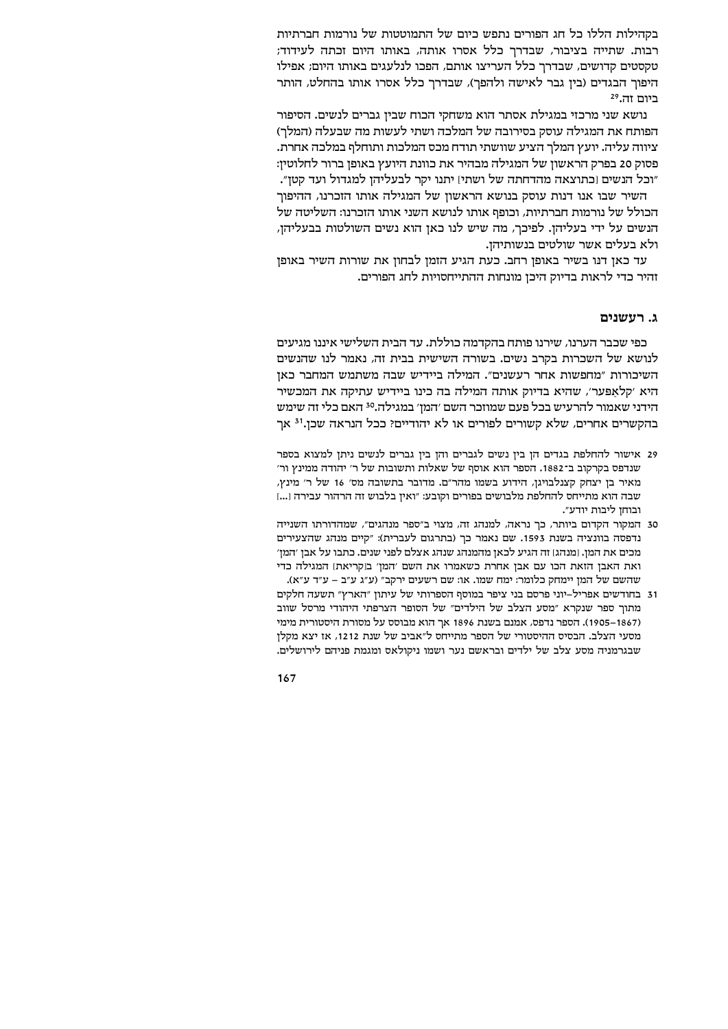בקהילות הללו כל חג הפורים נתפש כיום של התמוטטות של נורמות חברתיות רבות. שתייה בציבור, שבדרך כלל אסרו אותה, באותו היום זכתה לעידוד; טקסטים קדושים, שבדרך כלל העריצו אותם, הפכו לנלעגים באותו היום; אפילו היפוך הבגדים (בין גבר לאישה ולהפך), שבדרך כלל אסרו אותו בהחלט, הותר ביום זה.29

נושא שני מרכזי במגילת אסתר הוא משחקי הכוח שבין גברים לנשים. הסיפור הפותח את המגילה עוסק בסירובה של המלכה ושתי לעשות מה שבעלה (המלך) ציווה עליה. יועץ המלך הציע שוושתי תודח מכס המלכות ותוחלף במלכה אחרת. פסוק 20 בפרק הראשון של המגילה מבהיר את כוונת היועץ באופן ברור לחלוטין: "וכל הנשים [כתוצאה מהדחתה של ושתי] יתנו יקר לבעליהן למגדול ועד קטן".

השיר שבו אנו דנות עוסק בנושא הראשון של המגילה אותו הזכרנו, ההיפור הכולל של נורמות חברתיות, וכופף אותו לנושא השני אותו הזכרנו: השליטה של הנשים על ידי בעליהן. לפיכך, מה שיש לנו כאן הוא נשים השולטות בבעליהן, ולא בעלים אשר שולטים בנשותיהן.

עד כאן דנו בשיר באופן רחב. כעת הגיע הזמן לבחון את שורות השיר באופן זהיר כדי לראות בדיוק היכן מונחות ההתייחסויות לחג הפורים.

# ג. רעשנים

כפי שכבר הערנו, שירנו פותח בהקדמה כוללת. עד הבית השלישי איננו מגיעים לנושא של השכרות בקרב נשים. בשורה השישית בבית זה, נאמר לנו שהנשים השיכורות "מחפשות אחר רעשנים". המילה ביידיש שבה משתמש המחבר כאן היא 'קלאפער', שהיא בדיוק אותה המילה בה כינו ביידיש עתיקה את המכשיר הידני שאמור להרעיש בכל פעם שמוזכר השם 'המן' במגילה.<sup>30</sup> האם כלי זה שימש בהקשרים אחרים, שלא קשורים לפורים או לא יהודיים? ככל הנראה שכן.<sup>31</sup> אך

- 29 אישור להחלפת בגדים הן בין נשים לגברים והן בין גברים לנשים ניתן למצוא בספר שנדפס בקרקוב ב־1882. הספר הוא אוסף של שאלות ותשובות של ר׳ יהודה ממינץ ור׳ מאיר בן יצחק קצנלבויגן, הידוע בשמו מהר"ם. מדובר בתשובה מס' 16 של ר' מינץ, שבה הוא מתייחס להחלפת מלבושים בפורים וקובע: "ואין בלבוש זה הרהור עבירה [...] ובוחו ליבות יודע״.
- 30 המקור הקדום ביותר, כך נראה, למנהג זה, מצוי ב"ספר מנהגים", שמהדורתו השנייה נדפסה בוונציה בשנת 1593. שם נאמר כך (בתרגום לעברית): "קיים מנהג שהצעירים מכים את המן. [מנהג] זה הגיע לכאן מהמנהג שנהג אצלם לפני שנים. כתבו על אבן ׳המן׳ ואת האבן הזאת הכו עם אבן אחרת כשאמרו את השם 'המן' בנקריאת) המגילה כדי שהשם של המן יימחק כלומר: ימח שמו. או: שם רשעים ירקב״ (ע״ג ע״ב – ע״ד ע״א).
- 31 בחודשים אפריל–יוני פרסם בני ציפר במוסף הספרותי של עיתון "הארץ" תשעה חלקים מתוך ספר שנקרא "מסע הצלב של הילדים" של הסופר הצרפתי היהודי מרסל שווב (1867–1905). הספר נדפס, אמנם בשנת 1896 אך הוא מבוסס על מסורת היסטורית מימי מסעי הצלב. הבסיס ההיסטורי של הספר מתייחס ל"אביב של שנת 1212, אז יצא מקלן שבגרמניה מסע צלב של ילדים ובראשם נער ושמו ניקולאס ומגמת פניהם לירושלים.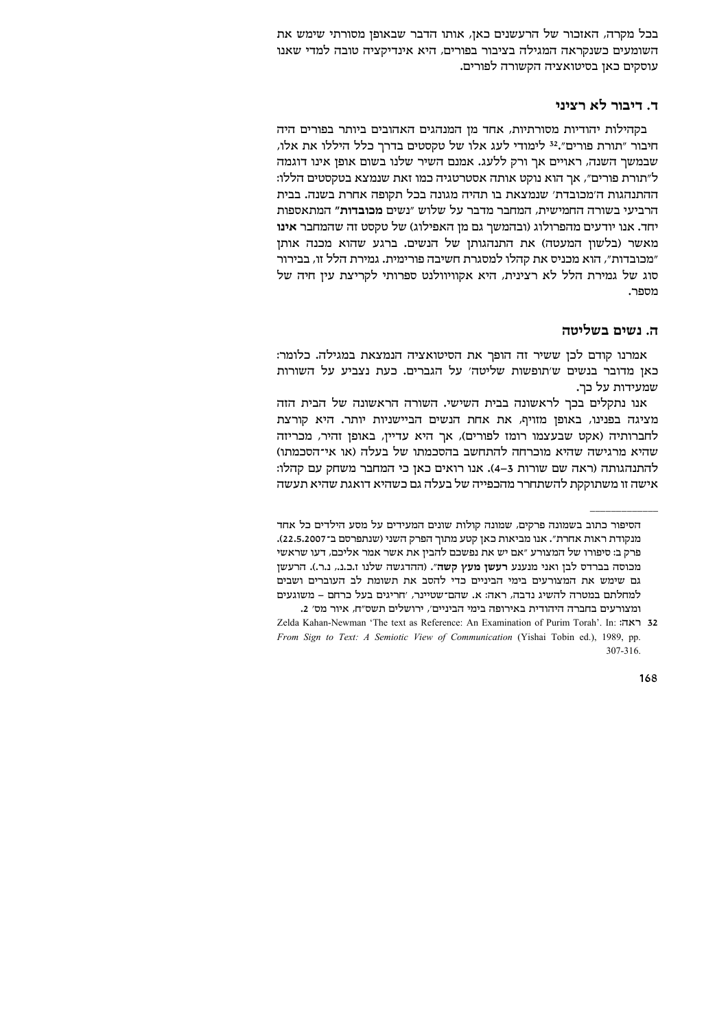בכל מקרה, האזכור של הרעשנים כאן, אותו הדבר שבאופן מסורתי שימש את השומעים כשנקראה המגילה בציבור בפורים, היא אינדיקציה טובה למדי שאנו עוסקים כאן בסיטואציה הקשורה לפורים.

# ד. דיבור לא רציני

בקהילות יהודיות מסורתיות, אחד מן המנהגים האהובים ביותר בפורים היה חיבור "תורת פורים".<sup>32</sup> לימודי לעג אלו של טקסטים בדרך כלל היללו את אלו, שבמשך השנה, ראויים אך ורק ללעג. אמנם השיר שלנו בשום אופן אינו דוגמה ל״תורת פורים״, אך הוא נוקט אותה אסטרטגיה כמו זאת שנמצא בטקסטים הללו: ההתנהגות ה'מכובדת' שנמצאת בו תהיה מגונה בכל תקופה אחרת בשנה. בבית הרביעי בשורה החמישית, המחבר מדבר על שלוש ״נשים מכובדות״ המתאספות יחד. אנו יודעים מהפרולוג (ובהמשך גם מן האפילוג) של טקסט זה שהמחבר אינו מאשר (בלשון המעטה) את התנהגותן של הנשים. ברגע שהוא מכנה אותן "מכובדות", הוא מכניס את קהלו למסגרת חשיבה פורימית. גמירת הלל זו, בבירור סוג של גמירת הלל לא רצינית, היא אקוויוולנט ספרותי לקריצת עין חיה של מספר.

# ה. נשים בשליטה

אמרנו קודם לכן ששיר זה הופך את הסיטואציה הנמצאת במגילה. כלומר: כאן מדובר בנשים ש׳תופשות שליטה׳ על הגברים. כעת נצביע על השורות שמעידות על כר.

אנו נתקלים בכך לראשונה בבית השישי. השורה הראשונה של הבית הזה מציגה בפנינו, באופן מזויף, את אחת הנשים הביישניות יותר. היא קורצת לחברותיה (אקט שבעצמו רומז לפורים), אך היא עדיין, באופן זהיר, מכריזה שהיא מרגישה שהיא מוכרחה להתחשב בהסכמתו של בעלה (או אי־הסכמתו) להתנהגותה (ראה שם שורות 3–4). אנו רואים כאן כי המחבר משחק עם קהלו: אישה זו משתוקקת להשתחרר מהכפייה של בעלה גם כשהיא דואגת שהיא תעשה

הסיפור כתוב בשמונה פרקים, שמונה קולות שונים המעידים על מסע הילדים כל אחד מנקודת ראות אחרת״. אנו מביאות כאן קטע מתוך הפרק השני (שנתפרסם ב־22.5.2007). פרק ב: סיפורו של המצורע ״אם יש את נפשכם להבין את אשר אמר אליכם, דעו שראשי מכוסה בברדס לבן ואני מנענע רעשן מעץ קשה". (ההדגשה שלנו ז.כ.נ., נ.ר.). הרעשן גם שימש את המצורעים בימי הביניים כדי להסב את תשומת לב העוברים ושבים למחלתם במטרה להשיג נדבה, ראה: א. שהם־שטיינר, ׳חריגים בעל כרחם – משוגעים ומצורעים בחברה היהודית באירופה בימי הביניים/ ירושלים תשס״ח, איור מס׳ 2.

Zelda Kahan-Newman 'The text as Reference: An Examination of Purim Torah'. In: 77 32 From Sign to Text: A Semiotic View of Communication (Yishai Tobin ed.), 1989, pp. 307-316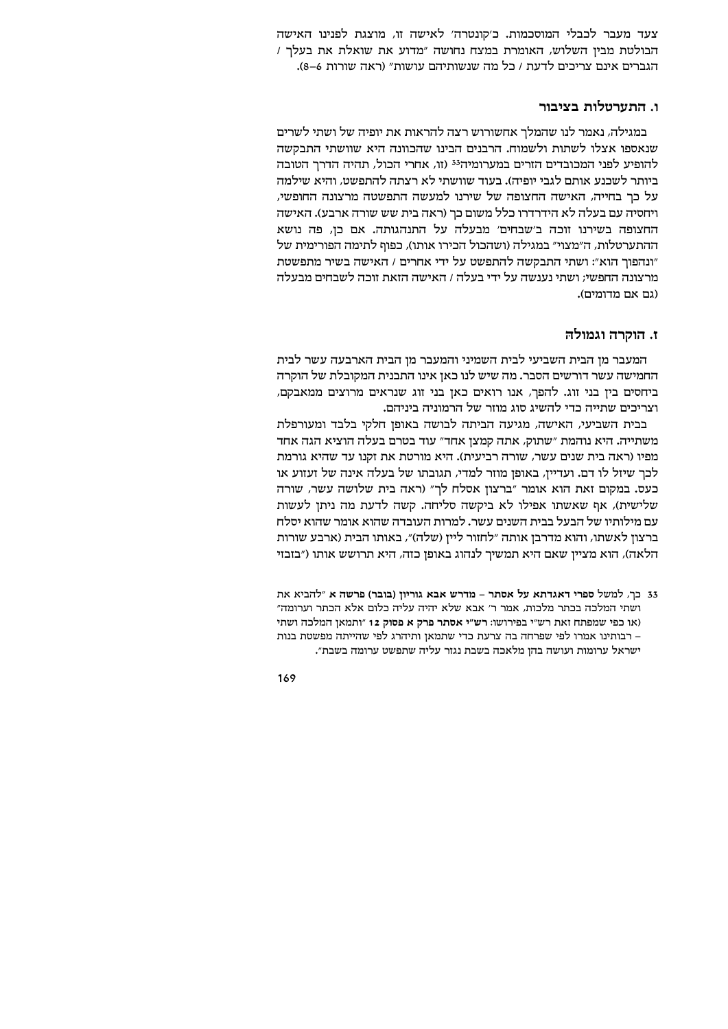צעד מעבר לכבלי המוסכמות. כ׳קונטרה׳ לאישה זו, מוצגת לפנינו האישה הבולטת מבין השלוש, האומרת במצח נחושה "מדוע את שואלת את בעלר / הגברים אינם צריכים לדעת / כל מה שנשותיהם עושות" (ראה שורות 6–8).

## ו. התערטלות בציבור

במגילה, נאמר לנו שהמלך אחשורוש רצה להראות את יופיה של ושתי לשרים שנאספו אצלו לשתות ולשמוח. הרבנים הבינו שהכוונה היא שוושתי התבקשה להופיע לפני המכובדים הזרים במערומיה<sup>33</sup> (זו, אחרי הכול, תהיה הדרך הטובה ביותר לשכנע אותם לגבי יופיה). בעוד שוושתי לא רצתה להתפשט, והיא שילמה על כך בחייה, האישה החצופה של שירנו למעשה התפשטה מרצונה החופשי, ויחסיה עם בעלה לא הידרדרו כלל משום כך (ראה בית שש שורה ארבע). האישה החצופה בשירנו זוכה ב׳שבחים׳ מבעלה על התנהגותה. אם כן, פה נושא ההתערטלות, ה״מצוי״ במגילה (ושהכול הכירו אותו), כפוף לתימה הפורימית של ונהפוך הוא": ושתי התבקשה להתפשט על ידי אחרים / האישה בשיר מתפשטת" מרצונה החפשי: ושתי נענשה על ידי בעלה / האישה הזאת זוכה לשבחים מבעלה (גם אם מדומים).

## ז. הוקרה וגמולה

המעבר מן הבית השביעי לבית השמיני והמעבר מן הבית הארבעה עשר לבית החמישה עשר דורשים הסבר. מה שיש לנו כאן אינו התבנית המקובלת של הוקרה ביחסים בין בני זוג. להפך, אנו רואים כאן בני זוג שנראים מרוצים ממאבקם, וצריכים שתייה כדי להשיג סוג מוזר של הרמוניה ביניהם.

בבית השביעי, האישה, מגיעה הביתה לבושה באופן חלקי בלבד ומעורפלת משתייה. היא נוהמת "שתוק, אתה קמצן אחד" עוד בטרם בעלה הוציא הגה אחד מפיו (ראה בית שנים עשר, שורה רביעית). היא מורטת את זקנו עד שהיא גורמת לכך שיזל לו דם. ועדיין, באופן מוזר למדי, תגובתו של בעלה אינה של זעזוע או כעס. במקום זאת הוא אומר "ברצון אסלח לך" (ראה בית שלושה עשר, שורה שלישית), אף שאשתו אפילו לא ביקשה סליחה. קשה לדעת מה ניתן לעשות עם מילותיו של הבעל בבית השנים עשר. למרות העובדה שהוא אומר שהוא יסלח ברצון לאשתו, והוא מדרבן אותה ״לחזור ליין (שלה)״, באותו הבית (ארבע שורות הלאה), הוא מציין שאם היא תמשיך לנהוג באופן כזה, היא תרושש אותו ("בזבזי

<sup>33</sup> כך, למשל ספרי דאגדתא על אסתר - מדרש אבא גוריון (בובר) פרשה א "להביא את ושתי המלכה בכתר מלכות, אמר ר' אבא שלא יהיה עליה כלום אלא הכתר וערומה" (או כפי שמפתח זאת רש״י בפירושו: רש״י אסתר פרק א פסוק 12 "ותמאן המלכה ושתי – רבותינו אמרו לפי שפרחה בה צרעת כדי שתמאן ותיהרג לפי שהייתה מפשטת בנות ישראל ערומות ועושה בהן מלאכה בשבת נגזר עליה שתפשט ערומה בשבת".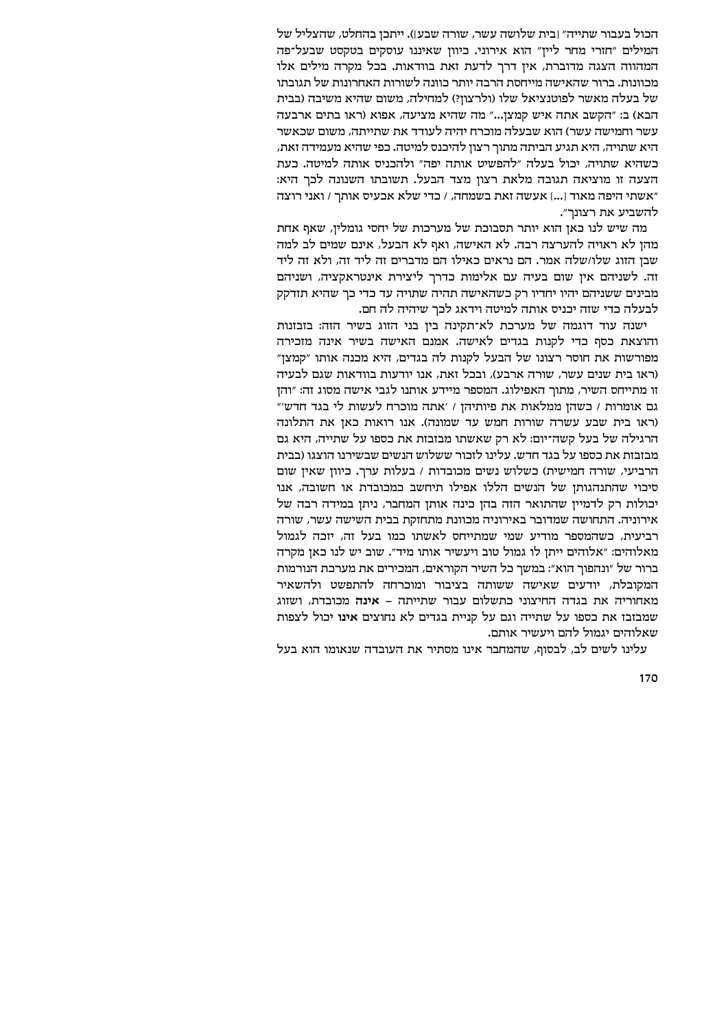הכול בעבור שתייה" [בית שלושה עשר, שורה שבע]). ייתכן בהחלט, שהצליל של המילים "חזרי מחר לייז" הוא אירוני. כיוון שאיננו עוסקים בטקסט שבעל־פה המהווה הצגה מדוברת, אין דרך לדעת זאת בוודאות. בכל מקרה מילים אלו מכוונות. ברור שהאישה מייחסת הרבה יותר כוונה לשורות האחרונות של תגובתו של בעלה מאשר לפוטנציאל שלו (ולרצוזי) למחילה, משום שהיא משיבה (בבית הבא) ב: "הקשב אתה איש קמצן..." מה שהיא מציעה, אפוא (ראו בתים ארבעה עשר וחמישה עשר) הוא שבעלה מוכרח יהיה לעודד את שתייתה, משום שכאשר היא שתויה, היא תגיע הביתה מתור רצון להיכנס למיטה. כפי שהיא מעמידה זאת, כשהיא שתויה, יכול בעלה "להפשיט אותה יפה" ולהכניס אותה למיטה. כעת הצעה זו מוציאה תגובה מלאת רצון מצד הבעל. תשובתו השנונה לכך היא: "אשתי היפה מאוד [...] אעשה זאת בשמחה, / כדי שלא אכעיס אותר / ואני רוצה להשביע את רצונר״.

מה שיש לנו כאן הוא יותר תסבוכת של מערכות של יחסי גומלין, שאף אחת מהן לא ראויה להערצה רבה. לא האישה, ואף לא הבעל, אינם שמים לב למה שבן הזוג שלו/שלה אמר. הם נראים כאילו הם מדברים זה ליד זה, ולא זה ליד זה. לשניהם אין שום בעיה עם אלימות כדרך ליצירת אינטראקציה, ושניהם מבינים ששניהם יהיו יחדיו רק כשהאישה תהיה שתויה עד כדי כך שהיא תזדקק לבעלה כדי שזה יכניס אותה למיטה וידאג לכך שיהיה לה חם.

ישנה עוד דוגמה של מערכת לא־תקינה בין בני הזוג בשיר הזה: בזבזנות והוצאת כסף כדי לקנות בגדים לאישה. אמנם האישה בשיר אינה מזכירה מפורשות את חוסר רצונו של הבעל לקנות לה בגדים, היא מכנה אותו "קמצן" (ראו בית שנים עשר, שורה ארבע), ובכל זאת, אנו יודעות בוודאות שגם לבעיה זו מתייחס השיר, מתוך האפילוג. המספר מיידע אותנו לגבי אישה מסוג זה: "והן גם אומרות / כשהן ממלאות את פיותיהן / 'אתה מוכרח לעשות לי בגד חדש'" (ראו בית שבע עשרה שורות חמש עד שמונה). אנו רואות כאן את התלונה הרגילה של בעל קשה־יום: לא רק שאשתו מבזבזת את כספו על שתייה, היא גם מבזבזת את כספו על בגד חדש. עלינו לזכור ששלוש הנשים שבשירנו הוצגו (בבית הרביעי, שורה חמישית) כשלוש נשים מכובדות / בעלות ערך. כיוון שאין שום סיכוי שהתנהגותן של הנשים הללו אפילו תיחשב כמכובדת או חשובה, אנו יכולות רק לדמיין שהתואר הזה בהן כינה אותן המחבר, ניתן במידה רבה של אירוניה. התחושה שמדובר באירוניה מכוונת מתחזקת בבית השישה עשר, שורה רביעית, כשהמספר מודיע שמי שמתייחס לאשתו כמו בעל זה, יזכה לגמול מאלוהים: ״אלוהים ייתן לו גמול טוב ויעשיר אותו מיד״. שוב יש לנו כאן מקרה ברור של "ונהפוך הוא": במשך כל השיר הקוראים, המכירים את מערכת הנורמות המקובלת, יודעים שאישה ששותה בציבור ומוכרחה להתפשט ולהשאיר מאחוריה את בגדה החיצוני כתשלום עבור שתייתה – אינה מכובדת, ושזוג שמבזבז את כספו על שתייה וגם על קניית בגדים לא נחוצים אינו יכול לצפות שאלוהים יגמול להם ויעשיר אותם.

עלינו לשים לב, לבסוף, שהמחבר אינו מסתיר את העובדה שנאומו הוא בעל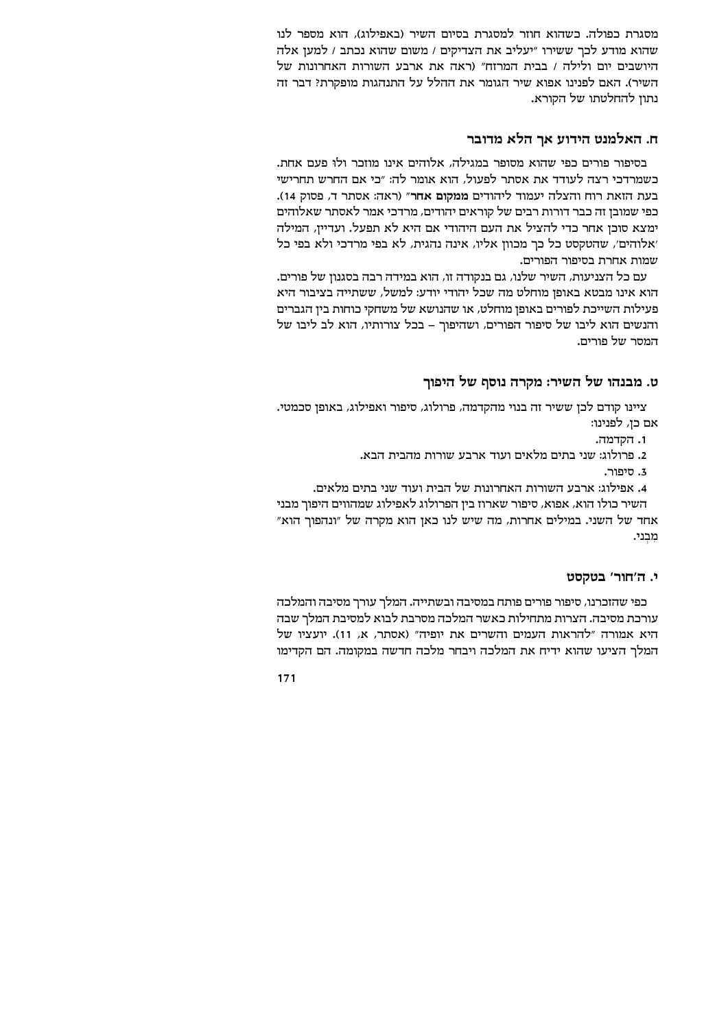מסגרת כפולה. כשהוא חוזר למסגרת בסיום השיר (באפילוג), הוא מספר לנו שהוא מודע לכר ששירו "יעליב את הצדיקים / משום שהוא נכתב / למען אלה היושבים יום ולילה / בבית המרזח" (ראה את ארבע השורות האחרונות של השיר). האם לפנינו אפוא שיר הגומר את ההלל על התנהגות מופקרת? דבר זה נתון להחלטתו של הקורא.

## ח. האלמנט הידוע אך הלא מדובר

בסיפור פורים כפי שהוא מסופר במגילה, אלוהים אינו מוזכר ולו פעם אחת. כשמרדכי רצה לעודד את אסתר לפעול, הוא אומר לה: "כי אם החרש תחרישי בעת הזאת רוח והצלה יעמוד ליהודים ממקום אחר״ (ראה: אסתר ד, פסוק 14). כפי שמובן זה כבר דורות רבים של קוראים יהודים, מרדכי אמר לאסתר שאלוהים ימצא סוכן אחר כדי להציל את העם היהודי אם היא לא תפעל. ועדיין, המילה 'אלוהים', שהטקסט כל כך מכוון אליו, אינה נהגית, לא בפי מרדכי ולא בפי כל שמות אחרת בסיפור הפורים.

עם כל הצניעות, השיר שלנו, גם בנקודה זו, הוא במידה רבה בסגנון של פורים. הוא אינו מבטא באופן מוחלט מה שכל יהודי יודע: למשל, ששתייה בציבור היא פעילות השייכת לפורים באופן מוחלט, או שהנושא של משחקי כוחות בין הגברים והנשים הוא ליבו של סיפור הפורים, ושהיפוך - בכל צורותיו, הוא לב ליבו של המסר של פורים.

# ט. מבנהו של השיר: מקרה נוסף של היפוך

ציינו קודם לכן ששיר זה בנוי מהקדמה, פרולוג, סיפור ואפילוג, באופן סכמטי. אם כן, לפנינו:

- 1. הקדמה.
- 2. פרולוג: שני בתים מלאים ועוד ארבע שורות מהבית הבא.
	- ג חיפור

4. אפילוג: ארבע השורות האחרונות של הבית ועוד שני בתים מלאים.

השיר כולו הוא, אפוא, סיפור שארוז בין הפרולוג לאפילוג שמהווים היפוך מבני אחד של השני. במילים אחרות, מה שיש לנו כאן הוא מקרה של "ונהפוך הוא" מִבְנִי.

## י. ה'חור' בטקסט

כפי שהזכרנו, סיפור פורים פותח במסיבה ובשתייה. המלך עורך מסיבה והמלכה עורכת מסיבה. הצרות מתחילות כאשר המלכה מסרבת לבוא למסיבת המלך שבה היא אמורה "להראות העמים והשרים את יופיה" (אסתר, א, 11). יועציו של המלך הציעו שהוא ידיח את המלכה ויבחר מלכה חדשה במקומה. הם הקדימו